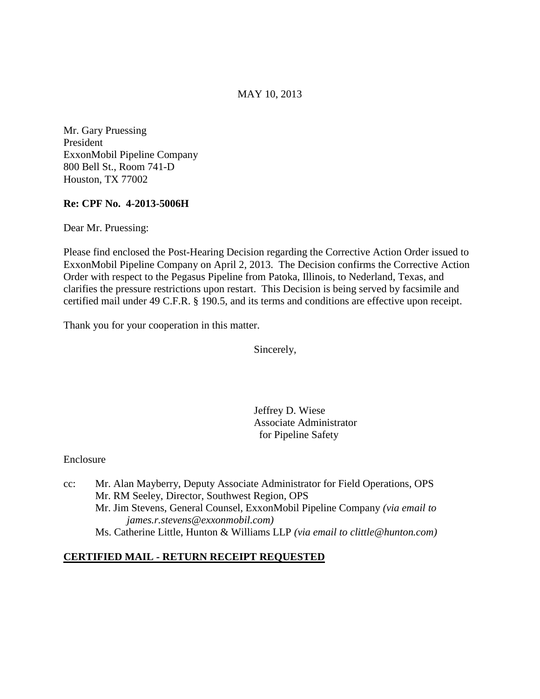MAY 10, 2013

Mr. Gary Pruessing President ExxonMobil Pipeline Company 800 Bell St., Room 741-D Houston, TX 77002

# **Re: CPF No. 4-2013-5006H**

Dear Mr. Pruessing:

Please find enclosed the Post-Hearing Decision regarding the Corrective Action Order issued to ExxonMobil Pipeline Company on April 2, 2013. The Decision confirms the Corrective Action Order with respect to the Pegasus Pipeline from Patoka, Illinois, to Nederland, Texas, and clarifies the pressure restrictions upon restart. This Decision is being served by facsimile and certified mail under 49 C.F.R. § 190.5, and its terms and conditions are effective upon receipt.

Thank you for your cooperation in this matter.

Sincerely,

 Jeffrey D. Wiese Associate Administrator for Pipeline Safety

Enclosure

cc: Mr. Alan Mayberry, Deputy Associate Administrator for Field Operations, OPS Mr. RM Seeley, Director, Southwest Region, OPS Mr. Jim Stevens, General Counsel, ExxonMobil Pipeline Company *(via email to james.r.stevens@exxonmobil.com)* Ms. Catherine Little, Hunton & Williams LLP *(via email to clittle@hunton.com)*

# **CERTIFIED MAIL - RETURN RECEIPT REQUESTED**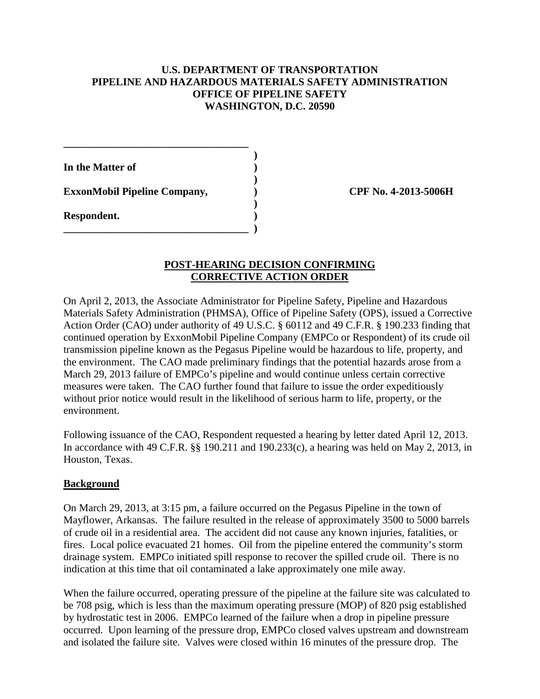# **U.S. DEPARTMENT OF TRANSPORTATION PIPELINE AND HAZARDOUS MATERIALS SAFETY ADMINISTRATION OFFICE OF PIPELINE SAFETY WASHINGTON, D.C. 20590**

 **) In the Matter of )** 

ExxonMobil Pipeline Company,  $\qquad \qquad$  (PF No. 4-2013-5006H)

**\_\_\_\_\_\_\_\_\_\_\_\_\_\_\_\_\_\_\_\_\_\_\_\_\_\_\_\_\_\_\_\_\_\_\_** 

 **)** 

**\_\_\_\_\_\_\_\_\_\_\_\_\_\_\_\_\_\_\_\_\_\_\_\_\_\_\_\_\_\_\_\_\_\_\_ )** 

**Respondent. )** 

# **POST-HEARING DECISION CONFIRMING CORRECTIVE ACTION ORDER**

**)** 

On April 2, 2013, the Associate Administrator for Pipeline Safety, Pipeline and Hazardous Materials Safety Administration (PHMSA), Office of Pipeline Safety (OPS), issued a Corrective Action Order (CAO) under authority of 49 U.S.C. § 60112 and 49 C.F.R. § 190.233 finding that continued operation by ExxonMobil Pipeline Company (EMPCo or Respondent) of its crude oil transmission pipeline known as the Pegasus Pipeline would be hazardous to life, property, and the environment. The CAO made preliminary findings that the potential hazards arose from a March 29, 2013 failure of EMPCo's pipeline and would continue unless certain corrective measures were taken. The CAO further found that failure to issue the order expeditiously without prior notice would result in the likelihood of serious harm to life, property, or the environment.

Following issuance of the CAO, Respondent requested a hearing by letter dated April 12, 2013. In accordance with 49 C.F.R. §§ 190.211 and 190.233(c), a hearing was held on May 2, 2013, in Houston, Texas.

# **Background**

On March 29, 2013, at 3:15 pm, a failure occurred on the Pegasus Pipeline in the town of Mayflower, Arkansas. The failure resulted in the release of approximately 3500 to 5000 barrels of crude oil in a residential area. The accident did not cause any known injuries, fatalities, or fires. Local police evacuated 21 homes. Oil from the pipeline entered the community's storm drainage system. EMPCo initiated spill response to recover the spilled crude oil. There is no indication at this time that oil contaminated a lake approximately one mile away.

When the failure occurred, operating pressure of the pipeline at the failure site was calculated to be 708 psig, which is less than the maximum operating pressure (MOP) of 820 psig established by hydrostatic test in 2006. EMPCo learned of the failure when a drop in pipeline pressure occurred. Upon learning of the pressure drop, EMPCo closed valves upstream and downstream and isolated the failure site. Valves were closed within 16 minutes of the pressure drop. The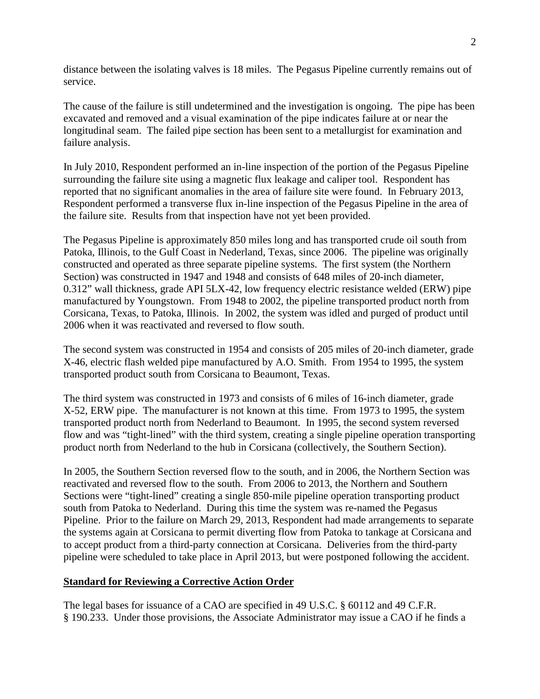distance between the isolating valves is 18 miles. The Pegasus Pipeline currently remains out of service.

The cause of the failure is still undetermined and the investigation is ongoing. The pipe has been excavated and removed and a visual examination of the pipe indicates failure at or near the longitudinal seam. The failed pipe section has been sent to a metallurgist for examination and failure analysis.

In July 2010, Respondent performed an in-line inspection of the portion of the Pegasus Pipeline surrounding the failure site using a magnetic flux leakage and caliper tool. Respondent has reported that no significant anomalies in the area of failure site were found. In February 2013, Respondent performed a transverse flux in-line inspection of the Pegasus Pipeline in the area of the failure site. Results from that inspection have not yet been provided.

The Pegasus Pipeline is approximately 850 miles long and has transported crude oil south from Patoka, Illinois, to the Gulf Coast in Nederland, Texas, since 2006. The pipeline was originally constructed and operated as three separate pipeline systems. The first system (the Northern Section) was constructed in 1947 and 1948 and consists of 648 miles of 20-inch diameter, 0.312" wall thickness, grade API 5LX-42, low frequency electric resistance welded (ERW) pipe manufactured by Youngstown. From 1948 to 2002, the pipeline transported product north from Corsicana, Texas, to Patoka, Illinois. In 2002, the system was idled and purged of product until 2006 when it was reactivated and reversed to flow south.

The second system was constructed in 1954 and consists of 205 miles of 20-inch diameter, grade X-46, electric flash welded pipe manufactured by A.O. Smith. From 1954 to 1995, the system transported product south from Corsicana to Beaumont, Texas.

The third system was constructed in 1973 and consists of 6 miles of 16-inch diameter, grade X-52, ERW pipe. The manufacturer is not known at this time. From 1973 to 1995, the system transported product north from Nederland to Beaumont. In 1995, the second system reversed flow and was "tight-lined" with the third system, creating a single pipeline operation transporting product north from Nederland to the hub in Corsicana (collectively, the Southern Section).

In 2005, the Southern Section reversed flow to the south, and in 2006, the Northern Section was reactivated and reversed flow to the south. From 2006 to 2013, the Northern and Southern Sections were "tight-lined" creating a single 850-mile pipeline operation transporting product south from Patoka to Nederland. During this time the system was re-named the Pegasus Pipeline. Prior to the failure on March 29, 2013, Respondent had made arrangements to separate the systems again at Corsicana to permit diverting flow from Patoka to tankage at Corsicana and to accept product from a third-party connection at Corsicana. Deliveries from the third-party pipeline were scheduled to take place in April 2013, but were postponed following the accident.

# **Standard for Reviewing a Corrective Action Order**

The legal bases for issuance of a CAO are specified in 49 U.S.C. § 60112 and 49 C.F.R. § 190.233. Under those provisions, the Associate Administrator may issue a CAO if he finds a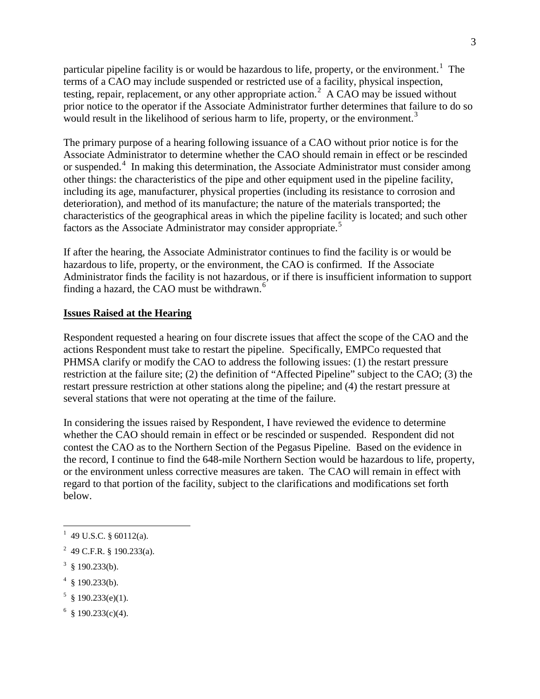particular pipeline facility is or would be hazardous to life, property, or the environment.<sup>1</sup> The terms of a CAO may include suspended or restricted use of a facility, physical inspection, testing, repair, replacement, or any other appropriate action.<sup>2</sup> A CAO may be issued without prior notice to the operator if the Associate Administrator further determines that failure to do so would result in the likelihood of serious harm to life, property, or the environment.<sup>3</sup>

The primary purpose of a hearing following issuance of a CAO without prior notice is for the Associate Administrator to determine whether the CAO should remain in effect or be rescinded or suspended.<sup>4</sup> In making this determination, the Associate Administrator must consider among other things: the characteristics of the pipe and other equipment used in the pipeline facility, including its age, manufacturer, physical properties (including its resistance to corrosion and deterioration), and method of its manufacture; the nature of the materials transported; the characteristics of the geographical areas in which the pipeline facility is located; and such other factors as the Associate Administrator may consider appropriate.<sup>5</sup>

If after the hearing, the Associate Administrator continues to find the facility is or would be hazardous to life, property, or the environment, the CAO is confirmed. If the Associate Administrator finds the facility is not hazardous, or if there is insufficient information to support finding a hazard, the CAO must be withdrawn. $6$ 

# **Issues Raised at the Hearing**

Respondent requested a hearing on four discrete issues that affect the scope of the CAO and the actions Respondent must take to restart the pipeline. Specifically, EMPCo requested that PHMSA clarify or modify the CAO to address the following issues: (1) the restart pressure restriction at the failure site; (2) the definition of "Affected Pipeline" subject to the CAO; (3) the restart pressure restriction at other stations along the pipeline; and (4) the restart pressure at several stations that were not operating at the time of the failure.

In considering the issues raised by Respondent, I have reviewed the evidence to determine whether the CAO should remain in effect or be rescinded or suspended. Respondent did not contest the CAO as to the Northern Section of the Pegasus Pipeline. Based on the evidence in the record, I continue to find the 648-mile Northern Section would be hazardous to life, property, or the environment unless corrective measures are taken. The CAO will remain in effect with regard to that portion of the facility, subject to the clarifications and modifications set forth below.

- $4 \text{ }$ \$ 190.233(b).
- $5 \text{ } (190.233(e)(1)).$
- $6 \text{ } $190.233(c)(4).$

 $1$  49 U.S.C. § 60112(a).

<sup>&</sup>lt;sup>2</sup> 49 C.F.R. § 190.233(a).

 $3 \text{ } (90.233(b)).$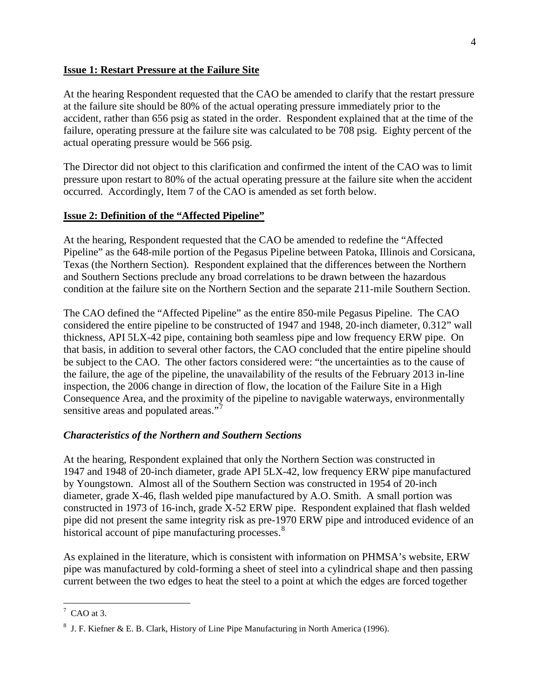#### **Issue 1: Restart Pressure at the Failure Site**

At the hearing Respondent requested that the CAO be amended to clarify that the restart pressure at the failure site should be 80% of the actual operating pressure immediately prior to the accident, rather than 656 psig as stated in the order. Respondent explained that at the time of the failure, operating pressure at the failure site was calculated to be 708 psig. Eighty percent of the actual operating pressure would be 566 psig.

The Director did not object to this clarification and confirmed the intent of the CAO was to limit pressure upon restart to 80% of the actual operating pressure at the failure site when the accident occurred. Accordingly, Item 7 of the CAO is amended as set forth below.

# **Issue 2: Definition of the "Affected Pipeline"**

At the hearing, Respondent requested that the CAO be amended to redefine the "Affected Pipeline" as the 648-mile portion of the Pegasus Pipeline between Patoka, Illinois and Corsicana, Texas (the Northern Section). Respondent explained that the differences between the Northern and Southern Sections preclude any broad correlations to be drawn between the hazardous condition at the failure site on the Northern Section and the separate 211-mile Southern Section.

The CAO defined the "Affected Pipeline" as the entire 850-mile Pegasus Pipeline. The CAO considered the entire pipeline to be constructed of 1947 and 1948, 20-inch diameter, 0.312" wall thickness, API 5LX-42 pipe, containing both seamless pipe and low frequency ERW pipe. On that basis, in addition to several other factors, the CAO concluded that the entire pipeline should be subject to the CAO. The other factors considered were: "the uncertainties as to the cause of the failure, the age of the pipeline, the unavailability of the results of the February 2013 in-line inspection, the 2006 change in direction of flow, the location of the Failure Site in a High Consequence Area, and the proximity of the pipeline to navigable waterways, environmentally sensitive areas and populated areas."<sup>7</sup>

# *Characteristics of the Northern and Southern Sections*

At the hearing, Respondent explained that only the Northern Section was constructed in 1947 and 1948 of 20-inch diameter, grade API 5LX-42, low frequency ERW pipe manufactured by Youngstown. Almost all of the Southern Section was constructed in 1954 of 20-inch diameter, grade X-46, flash welded pipe manufactured by A.O. Smith. A small portion was constructed in 1973 of 16-inch, grade X-52 ERW pipe. Respondent explained that flash welded pipe did not present the same integrity risk as pre-1970 ERW pipe and introduced evidence of an historical account of pipe manufacturing processes.<sup>8</sup>

As explained in the literature, which is consistent with information on PHMSA's website, ERW pipe was manufactured by cold-forming a sheet of steel into a cylindrical shape and then passing current between the two edges to heat the steel to a point at which the edges are forced together

 $\overline{7 \text{ CAO at 3.}}$ 

<sup>&</sup>lt;sup>8</sup> J. F. Kiefner & E. B. Clark, History of Line Pipe Manufacturing in North America (1996).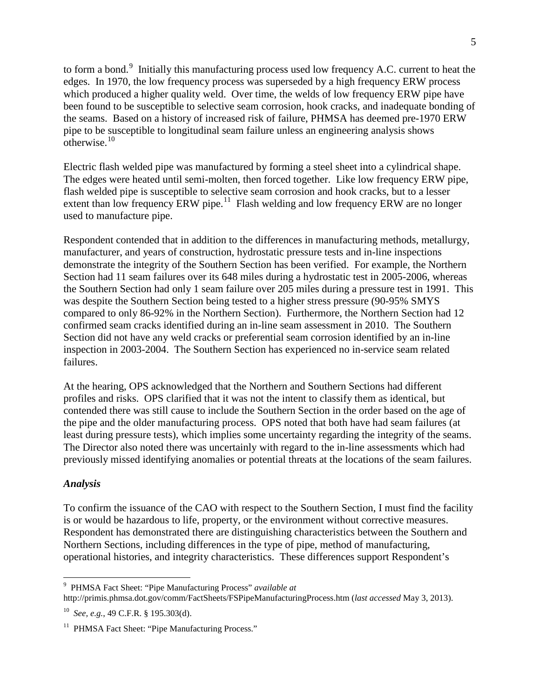to form a bond.<sup>9</sup> Initially this manufacturing process used low frequency A.C. current to heat the edges. In 1970, the low frequency process was superseded by a high frequency ERW process which produced a higher quality weld. Over time, the welds of low frequency ERW pipe have been found to be susceptible to selective seam corrosion, hook cracks, and inadequate bonding of the seams. Based on a history of increased risk of failure, PHMSA has deemed pre-1970 ERW pipe to be susceptible to longitudinal seam failure unless an engineering analysis shows  $\frac{1}{\text{otherwise}}$ <sup>10</sup>

Electric flash welded pipe was manufactured by forming a steel sheet into a cylindrical shape. The edges were heated until semi-molten, then forced together. Like low frequency ERW pipe, flash welded pipe is susceptible to selective seam corrosion and hook cracks, but to a lesser extent than low frequency ERW pipe.<sup>11</sup> Flash welding and low frequency ERW are no longer used to manufacture pipe.

Respondent contended that in addition to the differences in manufacturing methods, metallurgy, manufacturer, and years of construction, hydrostatic pressure tests and in-line inspections demonstrate the integrity of the Southern Section has been verified. For example, the Northern Section had 11 seam failures over its 648 miles during a hydrostatic test in 2005-2006, whereas the Southern Section had only 1 seam failure over 205 miles during a pressure test in 1991. This was despite the Southern Section being tested to a higher stress pressure (90-95% SMYS compared to only 86-92% in the Northern Section). Furthermore, the Northern Section had 12 confirmed seam cracks identified during an in-line seam assessment in 2010. The Southern Section did not have any weld cracks or preferential seam corrosion identified by an in-line inspection in 2003-2004. The Southern Section has experienced no in-service seam related failures.

At the hearing, OPS acknowledged that the Northern and Southern Sections had different profiles and risks. OPS clarified that it was not the intent to classify them as identical, but contended there was still cause to include the Southern Section in the order based on the age of the pipe and the older manufacturing process. OPS noted that both have had seam failures (at least during pressure tests), which implies some uncertainty regarding the integrity of the seams. The Director also noted there was uncertainly with regard to the in-line assessments which had previously missed identifying anomalies or potential threats at the locations of the seam failures.

# *Analysis*

To confirm the issuance of the CAO with respect to the Southern Section, I must find the facility is or would be hazardous to life, property, or the environment without corrective measures. Respondent has demonstrated there are distinguishing characteristics between the Southern and Northern Sections, including differences in the type of pipe, method of manufacturing, operational histories, and integrity characteristics. These differences support Respondent's

 $\overline{a}$ 9 PHMSA Fact Sheet: "Pipe Manufacturing Process" *available at*

http://primis.phmsa.dot.gov/comm/FactSheets/FSPipeManufacturingProcess.htm (*last accessed* May 3, 2013).

<sup>10</sup> *See, e.g.*, 49 C.F.R. § 195.303(d).

<sup>&</sup>lt;sup>11</sup> PHMSA Fact Sheet: "Pipe Manufacturing Process."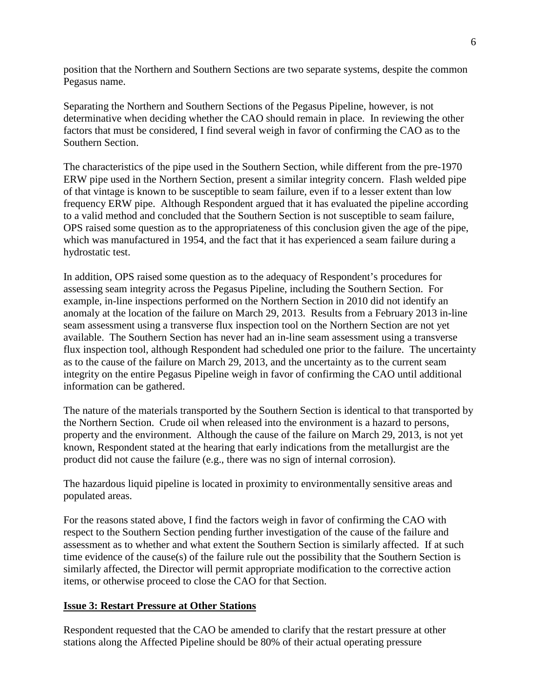position that the Northern and Southern Sections are two separate systems, despite the common Pegasus name.

Separating the Northern and Southern Sections of the Pegasus Pipeline, however, is not determinative when deciding whether the CAO should remain in place. In reviewing the other factors that must be considered, I find several weigh in favor of confirming the CAO as to the Southern Section.

The characteristics of the pipe used in the Southern Section, while different from the pre-1970 ERW pipe used in the Northern Section, present a similar integrity concern. Flash welded pipe of that vintage is known to be susceptible to seam failure, even if to a lesser extent than low frequency ERW pipe. Although Respondent argued that it has evaluated the pipeline according to a valid method and concluded that the Southern Section is not susceptible to seam failure, OPS raised some question as to the appropriateness of this conclusion given the age of the pipe, which was manufactured in 1954, and the fact that it has experienced a seam failure during a hydrostatic test.

In addition, OPS raised some question as to the adequacy of Respondent's procedures for assessing seam integrity across the Pegasus Pipeline, including the Southern Section. For example, in-line inspections performed on the Northern Section in 2010 did not identify an anomaly at the location of the failure on March 29, 2013. Results from a February 2013 in-line seam assessment using a transverse flux inspection tool on the Northern Section are not yet available. The Southern Section has never had an in-line seam assessment using a transverse flux inspection tool, although Respondent had scheduled one prior to the failure. The uncertainty as to the cause of the failure on March 29, 2013, and the uncertainty as to the current seam integrity on the entire Pegasus Pipeline weigh in favor of confirming the CAO until additional information can be gathered.

The nature of the materials transported by the Southern Section is identical to that transported by the Northern Section. Crude oil when released into the environment is a hazard to persons, property and the environment. Although the cause of the failure on March 29, 2013, is not yet known, Respondent stated at the hearing that early indications from the metallurgist are the product did not cause the failure (e.g., there was no sign of internal corrosion).

The hazardous liquid pipeline is located in proximity to environmentally sensitive areas and populated areas.

For the reasons stated above, I find the factors weigh in favor of confirming the CAO with respect to the Southern Section pending further investigation of the cause of the failure and assessment as to whether and what extent the Southern Section is similarly affected. If at such time evidence of the cause(s) of the failure rule out the possibility that the Southern Section is similarly affected, the Director will permit appropriate modification to the corrective action items, or otherwise proceed to close the CAO for that Section.

# **Issue 3: Restart Pressure at Other Stations**

Respondent requested that the CAO be amended to clarify that the restart pressure at other stations along the Affected Pipeline should be 80% of their actual operating pressure